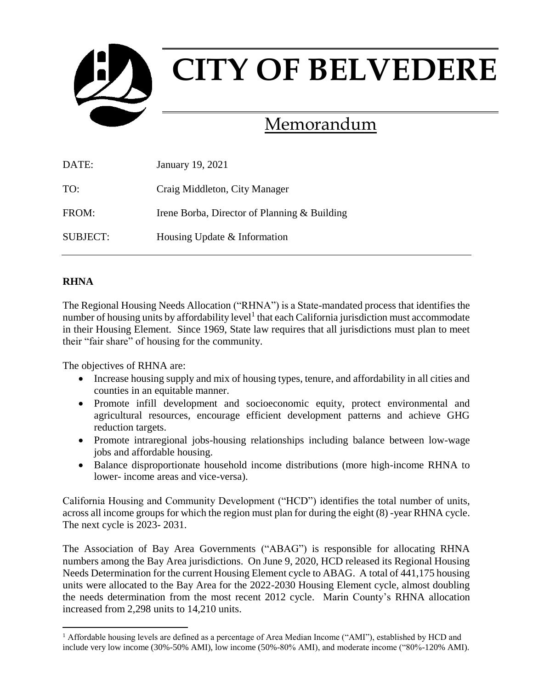

# Memorandum

| DATE:           | January 19, 2021                             |
|-----------------|----------------------------------------------|
| TO:             | Craig Middleton, City Manager                |
| FROM:           | Irene Borba, Director of Planning & Building |
| <b>SUBJECT:</b> | Housing Update & Information                 |

## **RHNA**

 $\overline{a}$ 

The Regional Housing Needs Allocation ("RHNA") is a State-mandated process that identifies the number of housing units by affordability level<sup>1</sup> that each California jurisdiction must accommodate in their Housing Element. Since 1969, State law requires that all jurisdictions must plan to meet their "fair share" of housing for the community.

The objectives of RHNA are:

- Increase housing supply and mix of housing types, tenure, and affordability in all cities and counties in an equitable manner.
- Promote infill development and socioeconomic equity, protect environmental and agricultural resources, encourage efficient development patterns and achieve GHG reduction targets.
- Promote intraregional jobs-housing relationships including balance between low-wage jobs and affordable housing.
- Balance disproportionate household income distributions (more high-income RHNA to lower- income areas and vice-versa).

California Housing and Community Development ("HCD") identifies the total number of units, across all income groups for which the region must plan for during the eight (8) -year RHNA cycle. The next cycle is 2023- 2031.

The Association of Bay Area Governments ("ABAG") is responsible for allocating RHNA numbers among the Bay Area jurisdictions. On June 9, 2020, HCD released its Regional Housing Needs Determination for the current Housing Element cycle to ABAG. A total of 441,175 housing units were allocated to the Bay Area for the 2022-2030 Housing Element cycle, almost doubling the needs determination from the most recent 2012 cycle. Marin County's RHNA allocation increased from 2,298 units to 14,210 units.

<sup>&</sup>lt;sup>1</sup> Affordable housing levels are defined as a percentage of Area Median Income ("AMI"), established by HCD and include very low income (30%-50% AMI), low income (50%-80% AMI), and moderate income ("80%-120% AMI).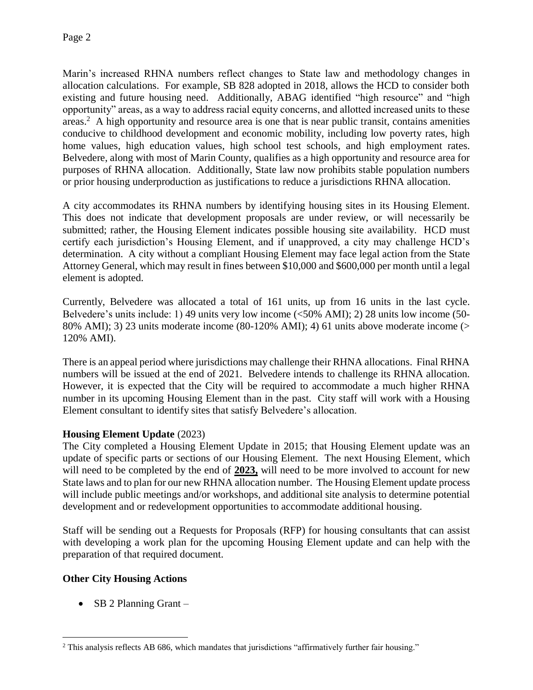Marin's increased RHNA numbers reflect changes to State law and methodology changes in allocation calculations. For example, SB 828 adopted in 2018, allows the HCD to consider both existing and future housing need. Additionally, ABAG identified "high resource" and "high opportunity" areas, as a way to address racial equity concerns, and allotted increased units to these areas.<sup>2</sup> A high opportunity and resource area is one that is near public transit, contains amenities conducive to childhood development and economic mobility, including low poverty rates, high home values, high education values, high school test schools, and high employment rates. Belvedere, along with most of Marin County, qualifies as a high opportunity and resource area for purposes of RHNA allocation. Additionally, State law now prohibits stable population numbers or prior housing underproduction as justifications to reduce a jurisdictions RHNA allocation.

A city accommodates its RHNA numbers by identifying housing sites in its Housing Element. This does not indicate that development proposals are under review, or will necessarily be submitted; rather, the Housing Element indicates possible housing site availability. HCD must certify each jurisdiction's Housing Element, and if unapproved, a city may challenge HCD's determination. A city without a compliant Housing Element may face legal action from the State Attorney General, which may result in fines between \$10,000 and \$600,000 per month until a legal element is adopted.

Currently, Belvedere was allocated a total of 161 units, up from 16 units in the last cycle. Belvedere's units include: 1) 49 units very low income (<50% AMI); 2) 28 units low income (50- 80% AMI); 3) 23 units moderate income (80-120% AMI); 4) 61 units above moderate income (> 120% AMI).

There is an appeal period where jurisdictions may challenge their RHNA allocations. Final RHNA numbers will be issued at the end of 2021. Belvedere intends to challenge its RHNA allocation. However, it is expected that the City will be required to accommodate a much higher RHNA number in its upcoming Housing Element than in the past. City staff will work with a Housing Element consultant to identify sites that satisfy Belvedere's allocation.

## **Housing Element Update** (2023)

The City completed a Housing Element Update in 2015; that Housing Element update was an update of specific parts or sections of our Housing Element. The next Housing Element, which will need to be completed by the end of **2023,** will need to be more involved to account for new State laws and to plan for our new RHNA allocation number. The Housing Element update process will include public meetings and/or workshops, and additional site analysis to determine potential development and or redevelopment opportunities to accommodate additional housing.

Staff will be sending out a Requests for Proposals (RFP) for housing consultants that can assist with developing a work plan for the upcoming Housing Element update and can help with the preparation of that required document.

# **Other City Housing Actions**

• SB 2 Planning Grant  $-$ 

 $\overline{a}$ <sup>2</sup> This analysis reflects AB 686, which mandates that jurisdictions "affirmatively further fair housing."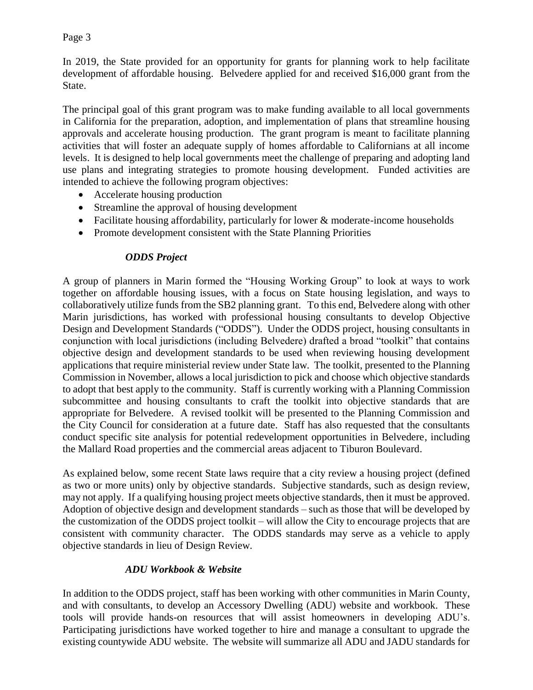Page 3

In 2019, the State provided for an opportunity for grants for planning work to help facilitate development of affordable housing. Belvedere applied for and received \$16,000 grant from the State.

The principal goal of this grant program was to make funding available to all local governments in California for the preparation, adoption, and implementation of plans that streamline housing approvals and accelerate housing production. The grant program is meant to facilitate planning activities that will foster an adequate supply of homes affordable to Californians at all income levels. It is designed to help local governments meet the challenge of preparing and adopting land use plans and integrating strategies to promote housing development. Funded activities are intended to achieve the following program objectives:

- Accelerate housing production
- Streamline the approval of housing development
- Facilitate housing affordability, particularly for lower & moderate-income households
- Promote development consistent with the State Planning Priorities

## *ODDS Project*

A group of planners in Marin formed the "Housing Working Group" to look at ways to work together on affordable housing issues, with a focus on State housing legislation, and ways to collaboratively utilize funds from the SB2 planning grant. To this end, Belvedere along with other Marin jurisdictions, has worked with professional housing consultants to develop Objective Design and Development Standards ("ODDS"). Under the ODDS project, housing consultants in conjunction with local jurisdictions (including Belvedere) drafted a broad "toolkit" that contains objective design and development standards to be used when reviewing housing development applications that require ministerial review under State law. The toolkit, presented to the Planning Commission in November, allows a local jurisdiction to pick and choose which objective standards to adopt that best apply to the community. Staff is currently working with a Planning Commission subcommittee and housing consultants to craft the toolkit into objective standards that are appropriate for Belvedere. A revised toolkit will be presented to the Planning Commission and the City Council for consideration at a future date. Staff has also requested that the consultants conduct specific site analysis for potential redevelopment opportunities in Belvedere, including the Mallard Road properties and the commercial areas adjacent to Tiburon Boulevard.

As explained below, some recent State laws require that a city review a housing project (defined as two or more units) only by objective standards. Subjective standards, such as design review, may not apply. If a qualifying housing project meets objective standards, then it must be approved. Adoption of objective design and development standards – such as those that will be developed by the customization of the ODDS project toolkit – will allow the City to encourage projects that are consistent with community character. The ODDS standards may serve as a vehicle to apply objective standards in lieu of Design Review.

## *ADU Workbook & Website*

In addition to the ODDS project, staff has been working with other communities in Marin County, and with consultants, to develop an Accessory Dwelling (ADU) website and workbook. These tools will provide hands-on resources that will assist homeowners in developing ADU's. Participating jurisdictions have worked together to hire and manage a consultant to upgrade the existing countywide ADU website. The website will summarize all ADU and JADU standards for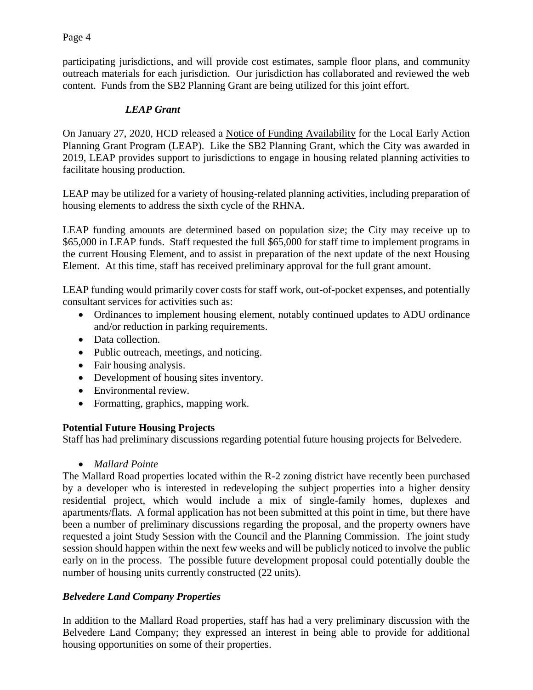Page 4

participating jurisdictions, and will provide cost estimates, sample floor plans, and community outreach materials for each jurisdiction. Our jurisdiction has collaborated and reviewed the web content. Funds from the SB2 Planning Grant are being utilized for this joint effort.

# *LEAP Grant*

On January 27, 2020, HCD released a Notice of Funding Availability for the Local Early Action Planning Grant Program (LEAP). Like the SB2 Planning Grant, which the City was awarded in 2019, LEAP provides support to jurisdictions to engage in housing related planning activities to facilitate housing production.

LEAP may be utilized for a variety of housing-related planning activities, including preparation of housing elements to address the sixth cycle of the RHNA.

LEAP funding amounts are determined based on population size; the City may receive up to \$65,000 in LEAP funds. Staff requested the full \$65,000 for staff time to implement programs in the current Housing Element, and to assist in preparation of the next update of the next Housing Element. At this time, staff has received preliminary approval for the full grant amount.

LEAP funding would primarily cover costs for staff work, out-of-pocket expenses, and potentially consultant services for activities such as:

- Ordinances to implement housing element, notably continued updates to ADU ordinance and/or reduction in parking requirements.
- Data collection.
- Public outreach, meetings, and noticing.
- Fair housing analysis.
- Development of housing sites inventory.
- Environmental review.
- Formatting, graphics, mapping work.

## **Potential Future Housing Projects**

Staff has had preliminary discussions regarding potential future housing projects for Belvedere.

*Mallard Pointe*

The Mallard Road properties located within the R-2 zoning district have recently been purchased by a developer who is interested in redeveloping the subject properties into a higher density residential project, which would include a mix of single-family homes, duplexes and apartments/flats. A formal application has not been submitted at this point in time, but there have been a number of preliminary discussions regarding the proposal, and the property owners have requested a joint Study Session with the Council and the Planning Commission. The joint study session should happen within the next few weeks and will be publicly noticed to involve the public early on in the process. The possible future development proposal could potentially double the number of housing units currently constructed (22 units).

## *Belvedere Land Company Properties*

In addition to the Mallard Road properties, staff has had a very preliminary discussion with the Belvedere Land Company; they expressed an interest in being able to provide for additional housing opportunities on some of their properties.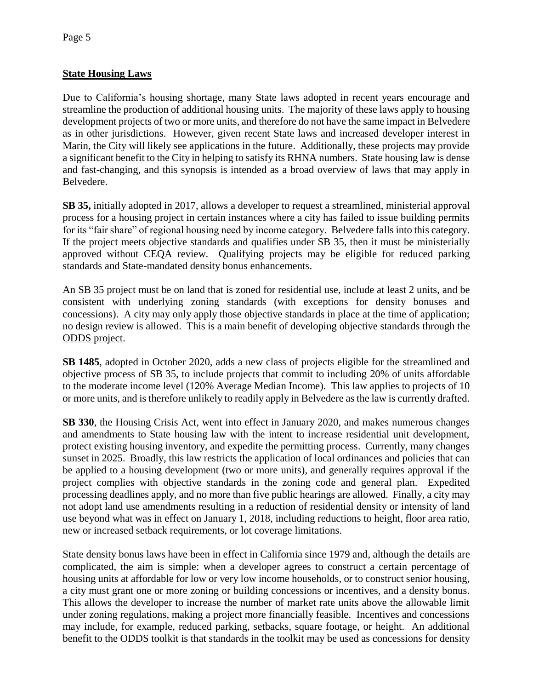## **State Housing Laws**

Due to California's housing shortage, many State laws adopted in recent years encourage and streamline the production of additional housing units. The majority of these laws apply to housing development projects of two or more units, and therefore do not have the same impact in Belvedere as in other jurisdictions. However, given recent State laws and increased developer interest in Marin, the City will likely see applications in the future. Additionally, these projects may provide a significant benefit to the City in helping to satisfy its RHNA numbers. State housing law is dense and fast-changing, and this synopsis is intended as a broad overview of laws that may apply in Belvedere.

**SB 35,** initially adopted in 2017, allows a developer to request a streamlined, ministerial approval process for a housing project in certain instances where a city has failed to issue building permits for its "fair share" of regional housing need by income category. Belvedere falls into this category. If the project meets objective standards and qualifies under SB 35, then it must be ministerially approved without CEQA review. Qualifying projects may be eligible for reduced parking standards and State-mandated density bonus enhancements.

An SB 35 project must be on land that is zoned for residential use, include at least 2 units, and be consistent with underlying zoning standards (with exceptions for density bonuses and concessions). A city may only apply those objective standards in place at the time of application; no design review is allowed. This is a main benefit of developing objective standards through the ODDS project.

**SB 1485**, adopted in October 2020, adds a new class of projects eligible for the streamlined and objective process of SB 35, to include projects that commit to including 20% of units affordable to the moderate income level (120% Average Median Income). This law applies to projects of 10 or more units, and is therefore unlikely to readily apply in Belvedere as the law is currently drafted.

**SB 330**, the Housing Crisis Act, went into effect in January 2020, and makes numerous changes and amendments to State housing law with the intent to increase residential unit development, protect existing housing inventory, and expedite the permitting process. Currently, many changes sunset in 2025. Broadly, this law restricts the application of local ordinances and policies that can be applied to a housing development (two or more units), and generally requires approval if the project complies with objective standards in the zoning code and general plan. Expedited processing deadlines apply, and no more than five public hearings are allowed. Finally, a city may not adopt land use amendments resulting in a reduction of residential density or intensity of land use beyond what was in effect on January 1, 2018, including reductions to height, floor area ratio, new or increased setback requirements, or lot coverage limitations.

State density bonus laws have been in effect in California since 1979 and, although the details are complicated, the aim is simple: when a developer agrees to construct a certain percentage of housing units at affordable for low or very low income households, or to construct senior housing, a city must grant one or more zoning or building concessions or incentives, and a density bonus. This allows the developer to increase the number of market rate units above the allowable limit under zoning regulations, making a project more financially feasible. Incentives and concessions may include, for example, reduced parking, setbacks, square footage, or height. An additional benefit to the ODDS toolkit is that standards in the toolkit may be used as concessions for density